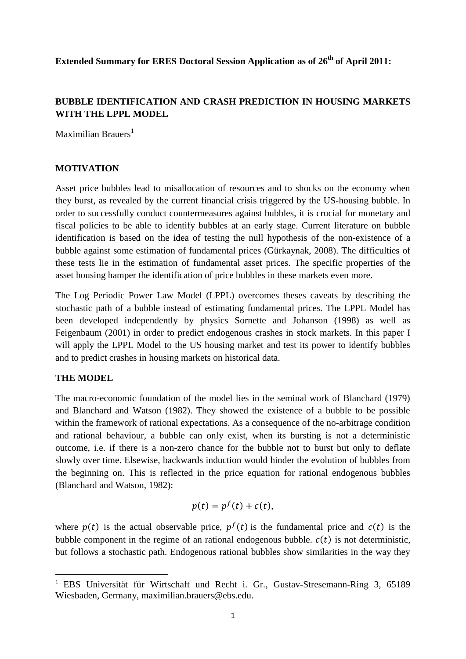**Extended Summary for ERES Doctoral Session Application as of 26th of April 2011:**

# **BUBBLE IDENTIFICATION AND CRASH PREDICTION IN HOUSING MARKETS WITH THE LPPL MODEL**

Maximilian Brauers<sup>1</sup>

## **MOTIVATION**

Asset price bubbles lead to misallocation of resources and to shocks on the economy when they burst, as revealed by the current financial crisis triggered by the US-housing bubble. In order to successfully conduct countermeasures against bubbles, it is crucial for monetary and fiscal policies to be able to identify bubbles at an early stage. Current literature on bubble identification is based on the idea of testing the null hypothesis of the non-existence of a bubble against some estimation of fundamental prices (Gürkaynak, 2008). The difficulties of these tests lie in the estimation of fundamental asset prices. The specific properties of the asset housing hamper the identification of price bubbles in these markets even more.

The Log Periodic Power Law Model (LPPL) overcomes theses caveats by describing the stochastic path of a bubble instead of estimating fundamental prices. The LPPL Model has been developed independently by physics Sornette and Johanson (1998) as well as Feigenbaum (2001) in order to predict endogenous crashes in stock markets. In this paper I will apply the LPPL Model to the US housing market and test its power to identify bubbles and to predict crashes in housing markets on historical data.

## **THE MODEL**

**.** 

The macro-economic foundation of the model lies in the seminal work of Blanchard (1979) and Blanchard and Watson (1982). They showed the existence of a bubble to be possible within the framework of rational expectations. As a consequence of the no-arbitrage condition and rational behaviour, a bubble can only exist, when its bursting is not a deterministic outcome, i.e. if there is a non-zero chance for the bubble not to burst but only to deflate slowly over time. Elsewise, backwards induction would hinder the evolution of bubbles from the beginning on. This is reflected in the price equation for rational endogenous bubbles (Blanchard and Watson, 1982):

$$
p(t) = p^f(t) + c(t),
$$

where  $p(t)$  is the actual observable price,  $p^{f}(t)$  is the fundamental price and  $c(t)$  is the bubble component in the regime of an rational endogenous bubble.  $c(t)$  is not deterministic, but follows a stochastic path. Endogenous rational bubbles show similarities in the way they

<sup>1</sup> EBS Universität für Wirtschaft und Recht i. Gr., Gustav-Stresemann-Ring 3, 65189 Wiesbaden, Germany, maximilian.brauers@ebs.edu.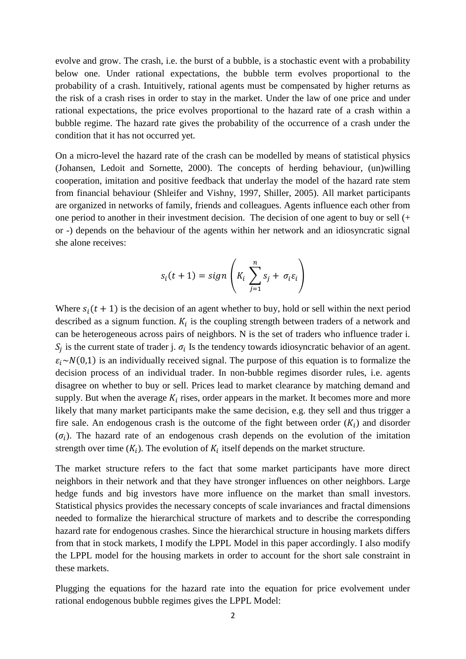evolve and grow. The crash, i.e. the burst of a bubble, is a stochastic event with a probability below one. Under rational expectations, the bubble term evolves proportional to the probability of a crash. Intuitively, rational agents must be compensated by higher returns as the risk of a crash rises in order to stay in the market. Under the law of one price and under rational expectations, the price evolves proportional to the hazard rate of a crash within a bubble regime. The hazard rate gives the probability of the occurrence of a crash under the condition that it has not occurred yet.

On a micro-level the hazard rate of the crash can be modelled by means of statistical physics (Johansen, Ledoit and Sornette, 2000). The concepts of herding behaviour, (un)willing cooperation, imitation and positive feedback that underlay the model of the hazard rate stem from financial behaviour (Shleifer and Vishny, 1997, Shiller, 2005). All market participants are organized in networks of family, friends and colleagues. Agents influence each other from one period to another in their investment decision. The decision of one agent to buy or sell (+ or -) depends on the behaviour of the agents within her network and an idiosyncratic signal she alone receives:

$$
s_i(t+1) = sign\left(K_i\sum_{j=1}^n s_j + \sigma_i \varepsilon_i\right)
$$

Where  $s_i(t + 1)$  is the decision of an agent whether to buy, hold or sell within the next period described as a signum function.  $K_i$  is the coupling strength between traders of a network and can be heterogeneous across pairs of neighbors. N is the set of traders who influence trader i.  $S_i$  is the current state of trader j.  $\sigma_i$  Is the tendency towards idiosyncratic behavior of an agent.  $\varepsilon_i \sim N(0,1)$  is an individually received signal. The purpose of this equation is to formalize the decision process of an individual trader. In non-bubble regimes disorder rules, i.e. agents disagree on whether to buy or sell. Prices lead to market clearance by matching demand and supply. But when the average  $K_i$  rises, order appears in the market. It becomes more and more likely that many market participants make the same decision, e.g. they sell and thus trigger a fire sale. An endogenous crash is the outcome of the fight between order  $(K_i)$  and disorder  $(\sigma_i)$ . The hazard rate of an endogenous crash depends on the evolution of the imitation strength over time  $(K_i)$ . The evolution of  $K_i$  itself depends on the market structure.

The market structure refers to the fact that some market participants have more direct neighbors in their network and that they have stronger influences on other neighbors. Large hedge funds and big investors have more influence on the market than small investors. Statistical physics provides the necessary concepts of scale invariances and fractal dimensions needed to formalize the hierarchical structure of markets and to describe the corresponding hazard rate for endogenous crashes. Since the hierarchical structure in housing markets differs from that in stock markets, I modify the LPPL Model in this paper accordingly. I also modify the LPPL model for the housing markets in order to account for the short sale constraint in these markets.

Plugging the equations for the hazard rate into the equation for price evolvement under rational endogenous bubble regimes gives the LPPL Model: